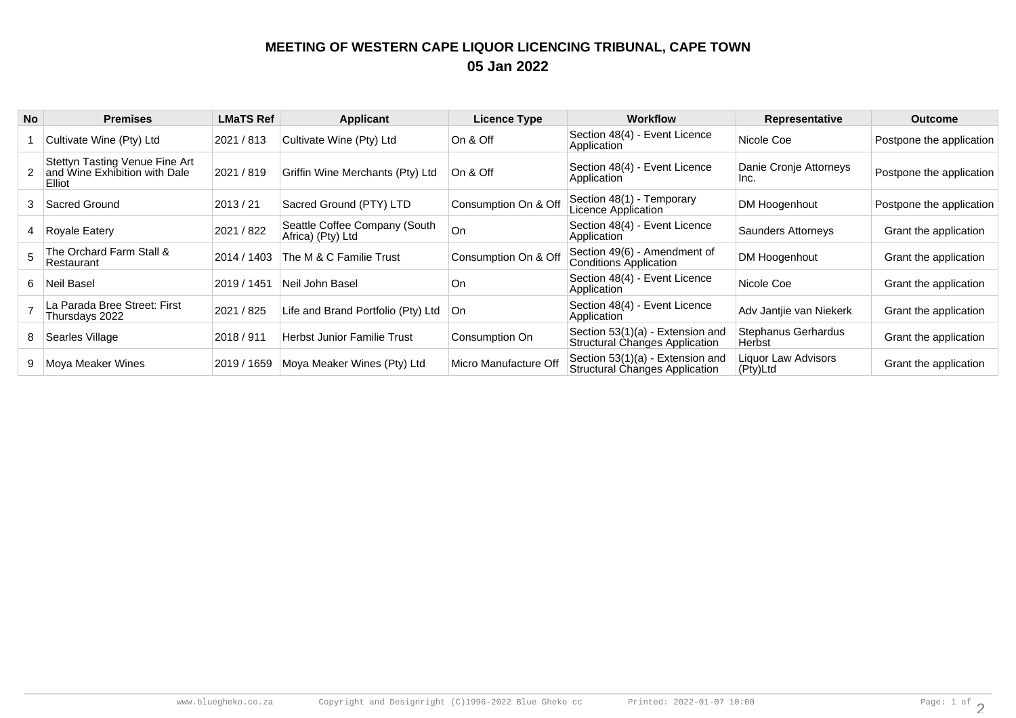## **MEETING OF WESTERN CAPE LIQUOR LICENCING TRIBUNAL, CAPE TOWN05 Jan 2022**

| <b>No</b> | <b>Premises</b>                                                           | <b>LMaTS Ref</b> | <b>Applicant</b>                                   | <b>Licence Type</b>   | <b>Workflow</b>                                                           | <b>Representative</b>           | <b>Outcome</b>           |
|-----------|---------------------------------------------------------------------------|------------------|----------------------------------------------------|-----------------------|---------------------------------------------------------------------------|---------------------------------|--------------------------|
|           | Cultivate Wine (Pty) Ltd                                                  | 2021 / 813       | Cultivate Wine (Pty) Ltd                           | On & Off              | Section 48(4) - Event Licence<br>Application                              | Nicole Coe                      | Postpone the application |
|           | Stettyn Tasting Venue Fine Art<br>and Wine Exhibition with Dale<br>Elliot | 2021 / 819       | Griffin Wine Merchants (Pty) Ltd                   | ∣On & Off             | Section 48(4) - Event Licence<br>Application                              | Danie Cronje Attorneys<br>Inc.  | Postpone the application |
| 3         | Sacred Ground                                                             | 2013/21          | Sacred Ground (PTY) LTD                            | Consumption On & Off  | Section 48(1) - Temporary<br>Licence Application                          | DM Hoogenhout                   | Postpone the application |
|           | Royale Eatery                                                             | 2021 / 822       | Seattle Coffee Company (South<br>Africa) (Pty) Ltd | <b>On</b>             | Section 48(4) - Event Licence<br>Application                              | Saunders Attorneys              | Grant the application    |
|           | The Orchard Farm Stall &<br>Restaurant                                    | 2014 / 1403      | The M & C Familie Trust                            | Consumption On & Off  | Section 49(6) - Amendment of<br><b>Conditions Application</b>             | DM Hoogenhout                   | Grant the application    |
| 6.        | Neil Basel                                                                | 2019 / 1451      | Neil John Basel                                    | On                    | Section 48(4) - Event Licence<br>Application                              | Nicole Coe                      | Grant the application    |
|           | La Parada Bree Street: First<br>Thursdays 2022                            | 2021 / 825       | Life and Brand Portfolio (Pty) Ltd                 | ∣On                   | Section 48(4) - Event Licence<br>Application                              | Adv Jantije van Niekerk         | Grant the application    |
| 8         | Searles Village                                                           | 2018 / 911       | <b>Herbst Junior Familie Trust</b>                 | Consumption On        | Section 53(1)(a) - Extension and<br><b>Structural Changes Application</b> | Stephanus Gerhardus<br>Herbst   | Grant the application    |
|           | Moya Meaker Wines                                                         | 2019 / 1659      | Moya Meaker Wines (Pty) Ltd                        | Micro Manufacture Off | Section 53(1)(a) - Extension and<br><b>Structural Changes Application</b> | Liquor Law Advisors<br>(Pty)Ltd | Grant the application    |